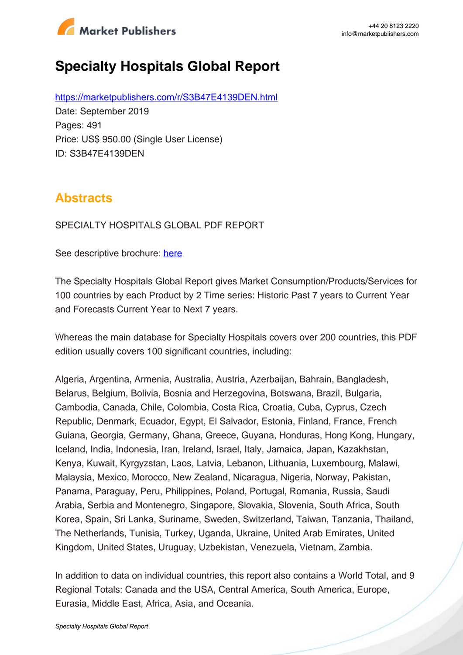

# **Specialty Hospitals Global Report**

https://marketpublishers.com/r/S3B47E4139DEN.html Date: September 2019 Pages: 491 Price: US\$ 950.00 (Single User License) ID: S3B47E4139DEN

## **Abstracts**

SPECIALTY HOSPITALS GLOBAL PDF REPORT

See descriptive brochure: here

The Specialty Hospitals Global Report gives Market Consumption/Products/Services for 100 countries by each Product by 2 Time series: Historic Past 7 years to Current Year and Forecasts Current Year to Next 7 years.

Whereas the main database for Specialty Hospitals covers over 200 countries, this PDF edition usually covers 100 significant countries, including:

Algeria, Argentina, Armenia, Australia, Austria, Azerbaijan, Bahrain, Bangladesh, Belarus, Belgium, Bolivia, Bosnia and Herzegovina, Botswana, Brazil, Bulgaria, Cambodia, Canada, Chile, Colombia, Costa Rica, Croatia, Cuba, Cyprus, Czech Republic, Denmark, Ecuador, Egypt, El Salvador, Estonia, Finland, France, French Guiana, Georgia, Germany, Ghana, Greece, Guyana, Honduras, Hong Kong, Hungary, Iceland, India, Indonesia, Iran, Ireland, Israel, Italy, Jamaica, Japan, Kazakhstan, Kenya, Kuwait, Kyrgyzstan, Laos, Latvia, Lebanon, Lithuania, Luxembourg, Malawi, Malaysia, Mexico, Morocco, New Zealand, Nicaragua, Nigeria, Norway, Pakistan, Panama, Paraguay, Peru, Philippines, Poland, Portugal, Romania, Russia, Saudi Arabia, Serbia and Montenegro, Singapore, Slovakia, Slovenia, South Africa, South Korea, Spain, Sri Lanka, Suriname, Sweden, Switzerland, Taiwan, Tanzania, Thailand, The Netherlands, Tunisia, Turkey, Uganda, Ukraine, United Arab Emirates, United Kingdom, United States, Uruguay, Uzbekistan, Venezuela, Vietnam, Zambia.

In addition to data on individual countries, this report also contains a World Total, and 9 Regional Totals: Canada and the USA, Central America, South America, Europe, Eurasia, Middle East, Africa, Asia, and Oceania.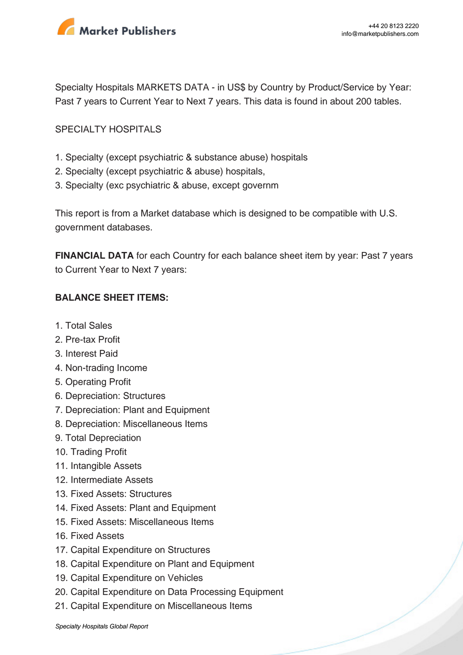

Specialty Hospitals MARKETS DATA - in US\$ by Country by Product/Service by Year: Past 7 years to Current Year to Next 7 years. This data is found in about 200 tables.

#### SPECIALTY HOSPITALS

- 1. Specialty (except psychiatric & substance abuse) hospitals
- 2. Specialty (except psychiatric & abuse) hospitals,
- 3. Specialty (exc psychiatric & abuse, except governm

This report is from a Market database which is designed to be compatible with U.S. government databases.

**FINANCIAL DATA** for each Country for each balance sheet item by year: Past 7 years to Current Year to Next 7 years:

#### **BALANCE SHEET ITEMS:**

- 1. Total Sales
- 2. Pre-tax Profit
- 3. Interest Paid
- 4. Non-trading Income
- 5. Operating Profit
- 6. Depreciation: Structures
- 7. Depreciation: Plant and Equipment
- 8. Depreciation: Miscellaneous Items
- 9. Total Depreciation
- 10. Trading Profit
- 11. Intangible Assets
- 12. Intermediate Assets
- 13. Fixed Assets: Structures
- 14. Fixed Assets: Plant and Equipment
- 15. Fixed Assets: Miscellaneous Items
- 16. Fixed Assets
- 17. Capital Expenditure on Structures
- 18. Capital Expenditure on Plant and Equipment
- 19. Capital Expenditure on Vehicles
- 20. Capital Expenditure on Data Processing Equipment
- 21. Capital Expenditure on Miscellaneous Items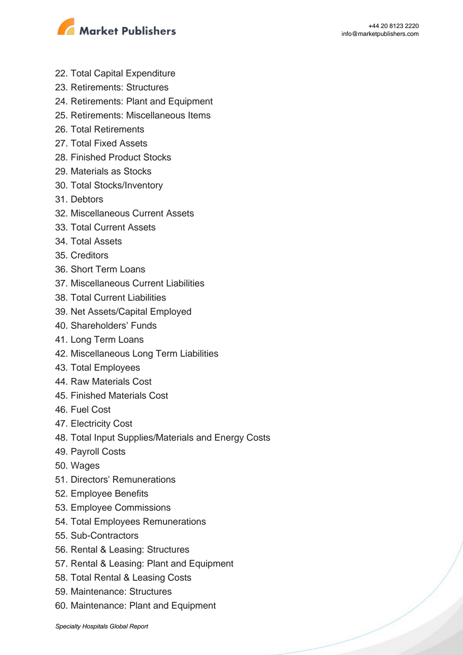

- 22. Total Capital Expenditure
- 23. Retirements: Structures
- 24. Retirements: Plant and Equipment
- 25. Retirements: Miscellaneous Items
- 26. Total Retirements
- 27. Total Fixed Assets
- 28. Finished Product Stocks
- 29. Materials as Stocks
- 30. Total Stocks/Inventory
- 31. Debtors
- 32. Miscellaneous Current Assets
- 33. Total Current Assets
- 34. Total Assets
- 35. Creditors
- 36. Short Term Loans
- 37. Miscellaneous Current Liabilities
- 38. Total Current Liabilities
- 39. Net Assets/Capital Employed
- 40. Shareholders' Funds
- 41. Long Term Loans
- 42. Miscellaneous Long Term Liabilities
- 43. Total Employees
- 44. Raw Materials Cost
- 45. Finished Materials Cost
- 46. Fuel Cost
- 47. Electricity Cost
- 48. Total Input Supplies/Materials and Energy Costs
- 49. Payroll Costs
- 50. Wages
- 51. Directors' Remunerations
- 52. Employee Benefits
- 53. Employee Commissions
- 54. Total Employees Remunerations
- 55. Sub-Contractors
- 56. Rental & Leasing: Structures
- 57. Rental & Leasing: Plant and Equipment
- 58. Total Rental & Leasing Costs
- 59. Maintenance: Structures
- 60. Maintenance: Plant and Equipment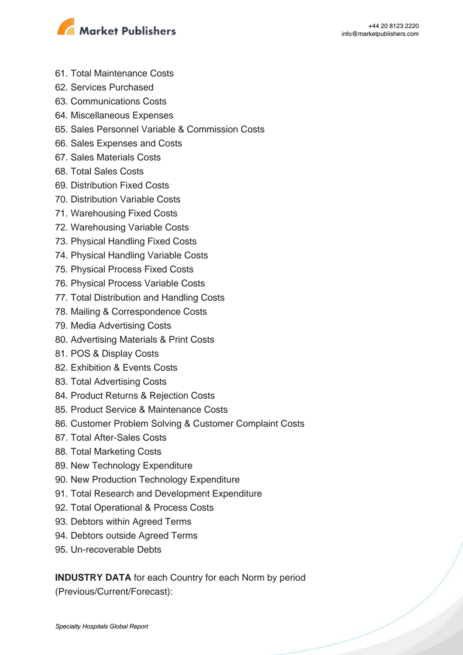

- 61. Total Maintenance Costs
- 62. Services Purchased
- 63. Communications Costs
- 64. Miscellaneous Expenses
- 65. Sales Personnel Variable & Commission Costs
- 66. Sales Expenses and Costs
- 67. Sales Materials Costs
- 68. Total Sales Costs
- 69. Distribution Fixed Costs
- 70. Distribution Variable Costs
- 71. Warehousing Fixed Costs
- 72. Warehousing Variable Costs
- 73. Physical Handling Fixed Costs
- 74. Physical Handling Variable Costs
- 75. Physical Process Fixed Costs
- 76. Physical Process Variable Costs
- 77. Total Distribution and Handling Costs
- 78. Mailing & Correspondence Costs
- 79. Media Advertising Costs
- 80. Advertising Materials & Print Costs
- 81. POS & Display Costs
- 82. Exhibition & Events Costs
- 83. Total Advertising Costs
- 84. Product Returns & Rejection Costs
- 85. Product Service & Maintenance Costs
- 86. Customer Problem Solving & Customer Complaint Costs
- 87. Total After-Sales Costs
- 88. Total Marketing Costs
- 89. New Technology Expenditure
- 90. New Production Technology Expenditure
- 91. Total Research and Development Expenditure
- 92. Total Operational & Process Costs
- 93. Debtors within Agreed Terms
- 94. Debtors outside Agreed Terms
- 95. Un-recoverable Debts

**INDUSTRY DATA** for each Country for each Norm by period

(Previous/Current/Forecast):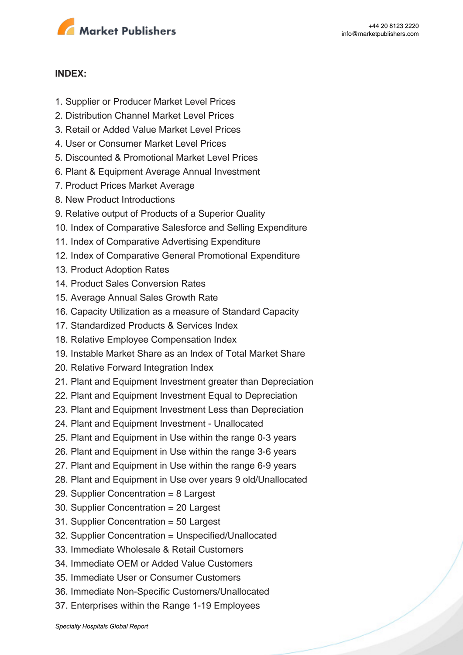

#### **INDEX:**

- 1. Supplier or Producer Market Level Prices
- 2. Distribution Channel Market Level Prices
- 3. Retail or Added Value Market Level Prices
- 4. User or Consumer Market Level Prices
- 5. Discounted & Promotional Market Level Prices
- 6. Plant & Equipment Average Annual Investment
- 7. Product Prices Market Average
- 8. New Product Introductions
- 9. Relative output of Products of a Superior Quality
- 10. Index of Comparative Salesforce and Selling Expenditure
- 11. Index of Comparative Advertising Expenditure
- 12. Index of Comparative General Promotional Expenditure
- 13. Product Adoption Rates
- 14. Product Sales Conversion Rates
- 15. Average Annual Sales Growth Rate
- 16. Capacity Utilization as a measure of Standard Capacity
- 17. Standardized Products & Services Index
- 18. Relative Employee Compensation Index
- 19. Instable Market Share as an Index of Total Market Share
- 20. Relative Forward Integration Index
- 21. Plant and Equipment Investment greater than Depreciation
- 22. Plant and Equipment Investment Equal to Depreciation
- 23. Plant and Equipment Investment Less than Depreciation
- 24. Plant and Equipment Investment Unallocated
- 25. Plant and Equipment in Use within the range 0-3 years
- 26. Plant and Equipment in Use within the range 3-6 years
- 27. Plant and Equipment in Use within the range 6-9 years
- 28. Plant and Equipment in Use over years 9 old/Unallocated
- 29. Supplier Concentration = 8 Largest
- 30. Supplier Concentration = 20 Largest
- 31. Supplier Concentration = 50 Largest
- 32. Supplier Concentration = Unspecified/Unallocated
- 33. Immediate Wholesale & Retail Customers
- 34. Immediate OEM or Added Value Customers
- 35. Immediate User or Consumer Customers
- 36. Immediate Non-Specific Customers/Unallocated
- 37. Enterprises within the Range 1-19 Employees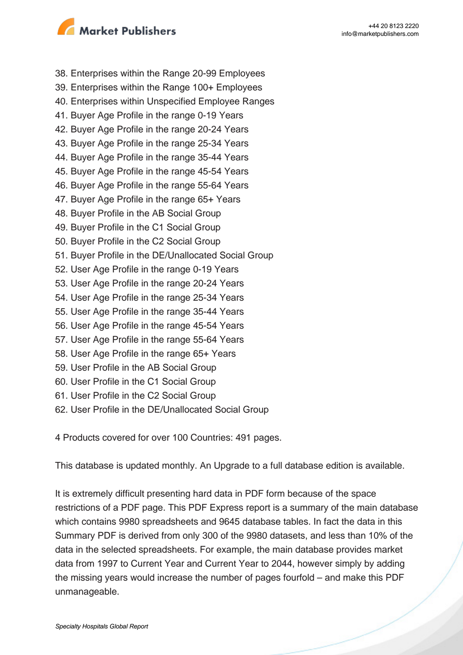

38. Enterprises within the Range 20-99 Employees

- 39. Enterprises within the Range 100+ Employees
- 40. Enterprises within Unspecified Employee Ranges
- 41. Buyer Age Profile in the range 0-19 Years
- 42. Buyer Age Profile in the range 20-24 Years
- 43. Buyer Age Profile in the range 25-34 Years
- 44. Buyer Age Profile in the range 35-44 Years
- 45. Buyer Age Profile in the range 45-54 Years
- 46. Buyer Age Profile in the range 55-64 Years
- 47. Buyer Age Profile in the range 65+ Years
- 48. Buyer Profile in the AB Social Group
- 49. Buyer Profile in the C1 Social Group
- 50. Buyer Profile in the C2 Social Group
- 51. Buyer Profile in the DE/Unallocated Social Group
- 52. User Age Profile in the range 0-19 Years
- 53. User Age Profile in the range 20-24 Years
- 54. User Age Profile in the range 25-34 Years
- 55. User Age Profile in the range 35-44 Years
- 56. User Age Profile in the range 45-54 Years
- 57. User Age Profile in the range 55-64 Years
- 58. User Age Profile in the range 65+ Years
- 59. User Profile in the AB Social Group
- 60. User Profile in the C1 Social Group
- 61. User Profile in the C2 Social Group
- 62. User Profile in the DE/Unallocated Social Group

4 Products covered for over 100 Countries: 491 pages.

This database is updated monthly. An Upgrade to a full database edition is available.

It is extremely difficult presenting hard data in PDF form because of the space restrictions of a PDF page. This PDF Express report is a summary of the main database which contains 9980 spreadsheets and 9645 database tables. In fact the data in this Summary PDF is derived from only 300 of the 9980 datasets, and less than 10% of the data in the selected spreadsheets. For example, the main database provides market data from 1997 to Current Year and Current Year to 2044, however simply by adding the missing years would increase the number of pages fourfold – and make this PDF unmanageable.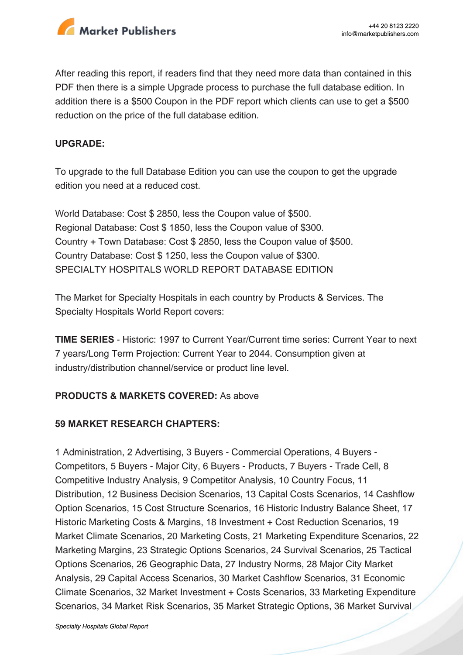

After reading this report, if readers find that they need more data than contained in this PDF then there is a simple Upgrade process to purchase the full database edition. In addition there is a \$500 Coupon in the PDF report which clients can use to get a \$500 reduction on the price of the full database edition.

#### **UPGRADE:**

To upgrade to the full Database Edition you can use the coupon to get the upgrade edition you need at a reduced cost.

World Database: Cost \$ 2850, less the Coupon value of \$500. Regional Database: Cost \$ 1850, less the Coupon value of \$300. Country + Town Database: Cost \$ 2850, less the Coupon value of \$500. Country Database: Cost \$ 1250, less the Coupon value of \$300. SPECIALTY HOSPITALS WORLD REPORT DATABASE EDITION

The Market for Specialty Hospitals in each country by Products & Services. The Specialty Hospitals World Report covers:

**TIME SERIES** - Historic: 1997 to Current Year/Current time series: Current Year to next 7 years/Long Term Projection: Current Year to 2044. Consumption given at industry/distribution channel/service or product line level.

#### **PRODUCTS & MARKETS COVERED:** As above

#### **59 MARKET RESEARCH CHAPTERS:**

1 Administration, 2 Advertising, 3 Buyers - Commercial Operations, 4 Buyers - Competitors, 5 Buyers - Major City, 6 Buyers - Products, 7 Buyers - Trade Cell, 8 Competitive Industry Analysis, 9 Competitor Analysis, 10 Country Focus, 11 Distribution, 12 Business Decision Scenarios, 13 Capital Costs Scenarios, 14 Cashflow Option Scenarios, 15 Cost Structure Scenarios, 16 Historic Industry Balance Sheet, 17 Historic Marketing Costs & Margins, 18 Investment + Cost Reduction Scenarios, 19 Market Climate Scenarios, 20 Marketing Costs, 21 Marketing Expenditure Scenarios, 22 Marketing Margins, 23 Strategic Options Scenarios, 24 Survival Scenarios, 25 Tactical Options Scenarios, 26 Geographic Data, 27 Industry Norms, 28 Major City Market Analysis, 29 Capital Access Scenarios, 30 Market Cashflow Scenarios, 31 Economic Climate Scenarios, 32 Market Investment + Costs Scenarios, 33 Marketing Expenditure Scenarios, 34 Market Risk Scenarios, 35 Market Strategic Options, 36 Market Survival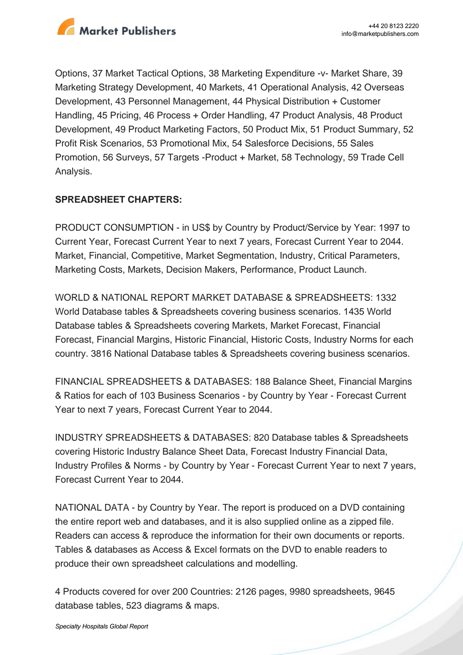

Options, 37 Market Tactical Options, 38 Marketing Expenditure -v- Market Share, 39 Marketing Strategy Development, 40 Markets, 41 Operational Analysis, 42 Overseas Development, 43 Personnel Management, 44 Physical Distribution + Customer Handling, 45 Pricing, 46 Process + Order Handling, 47 Product Analysis, 48 Product Development, 49 Product Marketing Factors, 50 Product Mix, 51 Product Summary, 52 Profit Risk Scenarios, 53 Promotional Mix, 54 Salesforce Decisions, 55 Sales Promotion, 56 Surveys, 57 Targets -Product + Market, 58 Technology, 59 Trade Cell Analysis.

#### **SPREADSHEET CHAPTERS:**

PRODUCT CONSUMPTION - in US\$ by Country by Product/Service by Year: 1997 to Current Year, Forecast Current Year to next 7 years, Forecast Current Year to 2044. Market, Financial, Competitive, Market Segmentation, Industry, Critical Parameters, Marketing Costs, Markets, Decision Makers, Performance, Product Launch.

WORLD & NATIONAL REPORT MARKET DATABASE & SPREADSHEETS: 1332 World Database tables & Spreadsheets covering business scenarios. 1435 World Database tables & Spreadsheets covering Markets, Market Forecast, Financial Forecast, Financial Margins, Historic Financial, Historic Costs, Industry Norms for each country. 3816 National Database tables & Spreadsheets covering business scenarios.

FINANCIAL SPREADSHEETS & DATABASES: 188 Balance Sheet, Financial Margins & Ratios for each of 103 Business Scenarios - by Country by Year - Forecast Current Year to next 7 years, Forecast Current Year to 2044.

INDUSTRY SPREADSHEETS & DATABASES: 820 Database tables & Spreadsheets covering Historic Industry Balance Sheet Data, Forecast Industry Financial Data, Industry Profiles & Norms - by Country by Year - Forecast Current Year to next 7 years, Forecast Current Year to 2044.

NATIONAL DATA - by Country by Year. The report is produced on a DVD containing the entire report web and databases, and it is also supplied online as a zipped file. Readers can access & reproduce the information for their own documents or reports. Tables & databases as Access & Excel formats on the DVD to enable readers to produce their own spreadsheet calculations and modelling.

4 Products covered for over 200 Countries: 2126 pages, 9980 spreadsheets, 9645 database tables, 523 diagrams & maps.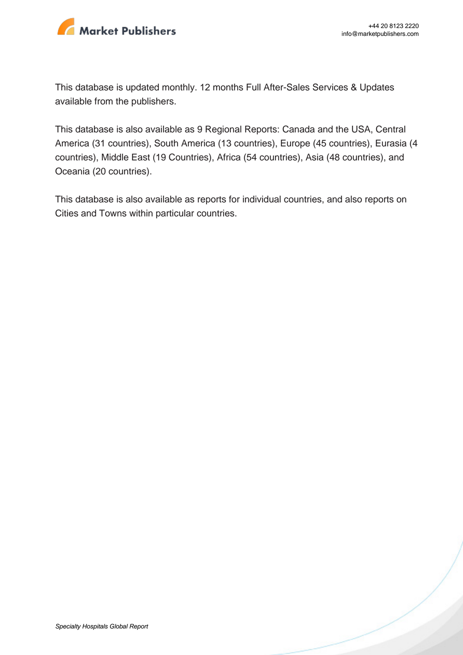

This database is updated monthly. 12 months Full After-Sales Services & Updates available from the publishers.

This database is also available as 9 Regional Reports: Canada and the USA, Central America (31 countries), South America (13 countries), Europe (45 countries), Eurasia (4 countries), Middle East (19 Countries), Africa (54 countries), Asia (48 countries), and Oceania (20 countries).

This database is also available as reports for individual countries, and also reports on Cities and Towns within particular countries.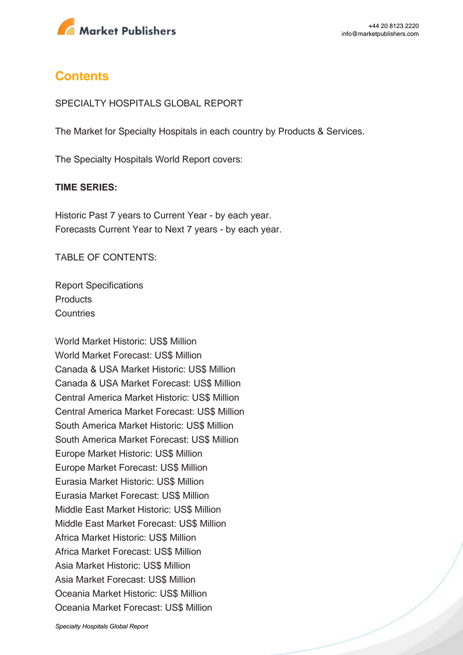

### **Contents**

#### SPECIALTY HOSPITALS GLOBAL REPORT

The Market for Specialty Hospitals in each country by Products & Services.

The Specialty Hospitals World Report covers:

#### **TIME SERIES:**

Historic Past 7 years to Current Year - by each year. Forecasts Current Year to Next 7 years - by each year.

TABLE OF CONTENTS:

Report Specifications **Products Countries** 

World Market Historic: US\$ Million World Market Forecast: US\$ Million Canada & USA Market Historic: US\$ Million Canada & USA Market Forecast: US\$ Million Central America Market Historic: US\$ Million Central America Market Forecast: US\$ Million South America Market Historic: US\$ Million South America Market Forecast: US\$ Million Europe Market Historic: US\$ Million Europe Market Forecast: US\$ Million Eurasia Market Historic: US\$ Million Eurasia Market Forecast: US\$ Million Middle East Market Historic: US\$ Million Middle East Market Forecast: US\$ Million Africa Market Historic: US\$ Million Africa Market Forecast: US\$ Million Asia Market Historic: US\$ Million Asia Market Forecast: US\$ Million Oceania Market Historic: US\$ Million Oceania Market Forecast: US\$ Million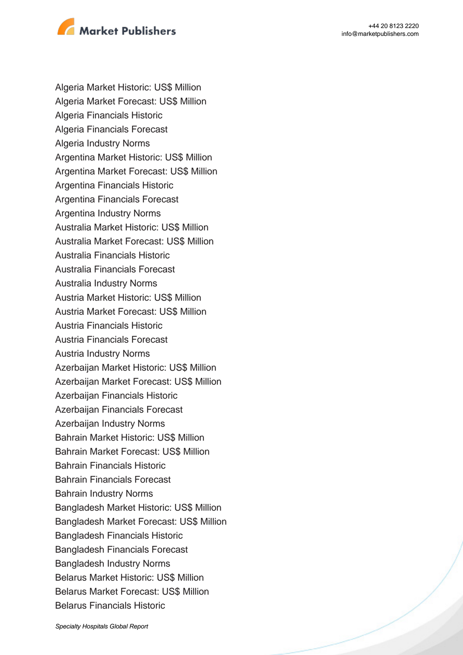

Algeria Market Historic: US\$ Million Algeria Market Forecast: US\$ Million Algeria Financials Historic Algeria Financials Forecast Algeria Industry Norms Argentina Market Historic: US\$ Million Argentina Market Forecast: US\$ Million Argentina Financials Historic Argentina Financials Forecast Argentina Industry Norms Australia Market Historic: US\$ Million Australia Market Forecast: US\$ Million Australia Financials Historic Australia Financials Forecast Australia Industry Norms Austria Market Historic: US\$ Million Austria Market Forecast: US\$ Million Austria Financials Historic Austria Financials Forecast Austria Industry Norms Azerbaijan Market Historic: US\$ Million Azerbaijan Market Forecast: US\$ Million Azerbaijan Financials Historic Azerbaijan Financials Forecast Azerbaijan Industry Norms Bahrain Market Historic: US\$ Million Bahrain Market Forecast: US\$ Million Bahrain Financials Historic Bahrain Financials Forecast Bahrain Industry Norms Bangladesh Market Historic: US\$ Million Bangladesh Market Forecast: US\$ Million Bangladesh Financials Historic Bangladesh Financials Forecast Bangladesh Industry Norms Belarus Market Historic: US\$ Million Belarus Market Forecast: US\$ Million Belarus Financials Historic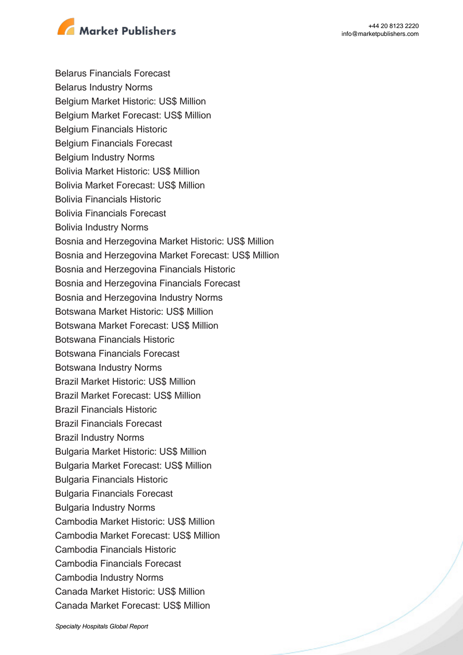

Belarus Financials Forecast Belarus Industry Norms Belgium Market Historic: US\$ Million Belgium Market Forecast: US\$ Million Belgium Financials Historic Belgium Financials Forecast Belgium Industry Norms Bolivia Market Historic: US\$ Million Bolivia Market Forecast: US\$ Million Bolivia Financials Historic Bolivia Financials Forecast Bolivia Industry Norms Bosnia and Herzegovina Market Historic: US\$ Million Bosnia and Herzegovina Market Forecast: US\$ Million Bosnia and Herzegovina Financials Historic Bosnia and Herzegovina Financials Forecast Bosnia and Herzegovina Industry Norms Botswana Market Historic: US\$ Million Botswana Market Forecast: US\$ Million Botswana Financials Historic Botswana Financials Forecast Botswana Industry Norms Brazil Market Historic: US\$ Million Brazil Market Forecast: US\$ Million Brazil Financials Historic Brazil Financials Forecast Brazil Industry Norms Bulgaria Market Historic: US\$ Million Bulgaria Market Forecast: US\$ Million Bulgaria Financials Historic Bulgaria Financials Forecast Bulgaria Industry Norms Cambodia Market Historic: US\$ Million Cambodia Market Forecast: US\$ Million Cambodia Financials Historic Cambodia Financials Forecast Cambodia Industry Norms Canada Market Historic: US\$ Million Canada Market Forecast: US\$ Million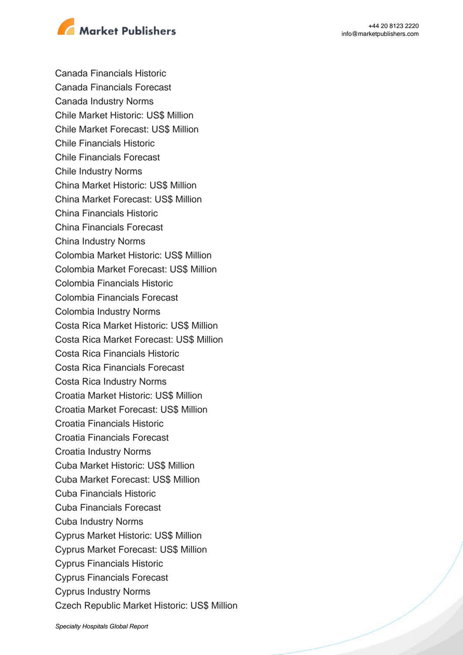

Canada Financials Historic Canada Financials Forecast Canada Industry Norms Chile Market Historic: US\$ Million Chile Market Forecast: US\$ Million Chile Financials Historic Chile Financials Forecast Chile Industry Norms China Market Historic: US\$ Million China Market Forecast: US\$ Million China Financials Historic China Financials Forecast China Industry Norms Colombia Market Historic: US\$ Million Colombia Market Forecast: US\$ Million Colombia Financials Historic Colombia Financials Forecast Colombia Industry Norms Costa Rica Market Historic: US\$ Million Costa Rica Market Forecast: US\$ Million Costa Rica Financials Historic Costa Rica Financials Forecast Costa Rica Industry Norms Croatia Market Historic: US\$ Million Croatia Market Forecast: US\$ Million Croatia Financials Historic Croatia Financials Forecast Croatia Industry Norms Cuba Market Historic: US\$ Million Cuba Market Forecast: US\$ Million Cuba Financials Historic Cuba Financials Forecast Cuba Industry Norms Cyprus Market Historic: US\$ Million Cyprus Market Forecast: US\$ Million Cyprus Financials Historic Cyprus Financials Forecast Cyprus Industry Norms Czech Republic Market Historic: US\$ Million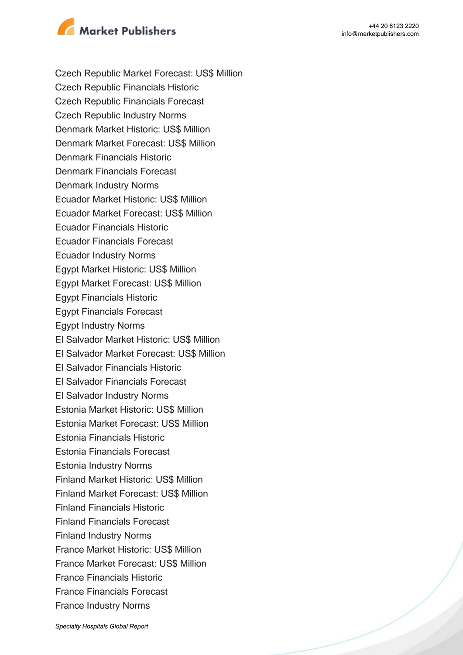

Czech Republic Market Forecast: US\$ Million Czech Republic Financials Historic Czech Republic Financials Forecast Czech Republic Industry Norms Denmark Market Historic: US\$ Million Denmark Market Forecast: US\$ Million Denmark Financials Historic Denmark Financials Forecast Denmark Industry Norms Ecuador Market Historic: US\$ Million Ecuador Market Forecast: US\$ Million Ecuador Financials Historic Ecuador Financials Forecast Ecuador Industry Norms Egypt Market Historic: US\$ Million Egypt Market Forecast: US\$ Million Egypt Financials Historic Egypt Financials Forecast Egypt Industry Norms El Salvador Market Historic: US\$ Million El Salvador Market Forecast: US\$ Million El Salvador Financials Historic El Salvador Financials Forecast El Salvador Industry Norms Estonia Market Historic: US\$ Million Estonia Market Forecast: US\$ Million Estonia Financials Historic Estonia Financials Forecast Estonia Industry Norms Finland Market Historic: US\$ Million Finland Market Forecast: US\$ Million Finland Financials Historic Finland Financials Forecast Finland Industry Norms France Market Historic: US\$ Million France Market Forecast: US\$ Million France Financials Historic France Financials Forecast France Industry Norms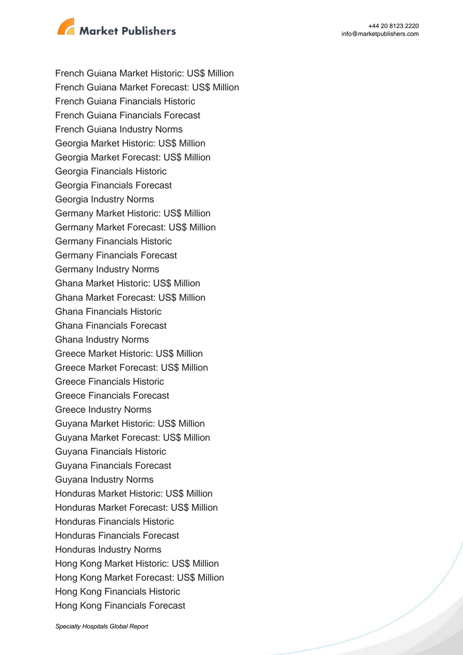

French Guiana Market Historic: US\$ Million French Guiana Market Forecast: US\$ Million French Guiana Financials Historic French Guiana Financials Forecast French Guiana Industry Norms Georgia Market Historic: US\$ Million Georgia Market Forecast: US\$ Million Georgia Financials Historic Georgia Financials Forecast Georgia Industry Norms Germany Market Historic: US\$ Million Germany Market Forecast: US\$ Million Germany Financials Historic Germany Financials Forecast Germany Industry Norms Ghana Market Historic: US\$ Million Ghana Market Forecast: US\$ Million Ghana Financials Historic Ghana Financials Forecast Ghana Industry Norms Greece Market Historic: US\$ Million Greece Market Forecast: US\$ Million Greece Financials Historic Greece Financials Forecast Greece Industry Norms Guyana Market Historic: US\$ Million Guyana Market Forecast: US\$ Million Guyana Financials Historic Guyana Financials Forecast Guyana Industry Norms Honduras Market Historic: US\$ Million Honduras Market Forecast: US\$ Million Honduras Financials Historic Honduras Financials Forecast Honduras Industry Norms Hong Kong Market Historic: US\$ Million Hong Kong Market Forecast: US\$ Million Hong Kong Financials Historic Hong Kong Financials Forecast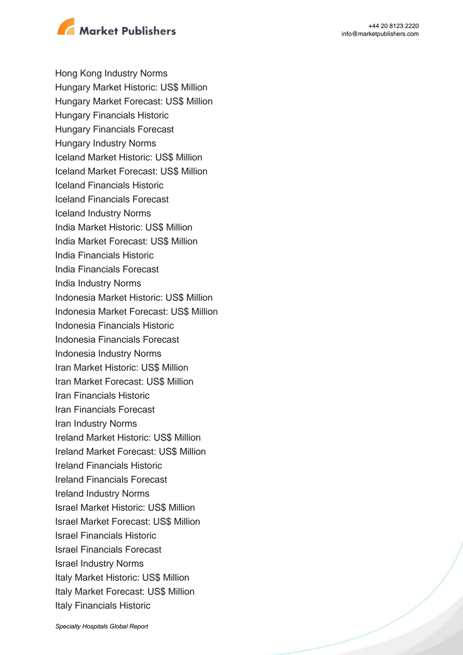

Hong Kong Industry Norms Hungary Market Historic: US\$ Million Hungary Market Forecast: US\$ Million Hungary Financials Historic Hungary Financials Forecast Hungary Industry Norms Iceland Market Historic: US\$ Million Iceland Market Forecast: US\$ Million Iceland Financials Historic Iceland Financials Forecast Iceland Industry Norms India Market Historic: US\$ Million India Market Forecast: US\$ Million India Financials Historic India Financials Forecast India Industry Norms Indonesia Market Historic: US\$ Million Indonesia Market Forecast: US\$ Million Indonesia Financials Historic Indonesia Financials Forecast Indonesia Industry Norms Iran Market Historic: US\$ Million Iran Market Forecast: US\$ Million Iran Financials Historic Iran Financials Forecast Iran Industry Norms Ireland Market Historic: US\$ Million Ireland Market Forecast: US\$ Million Ireland Financials Historic Ireland Financials Forecast Ireland Industry Norms Israel Market Historic: US\$ Million Israel Market Forecast: US\$ Million Israel Financials Historic Israel Financials Forecast Israel Industry Norms Italy Market Historic: US\$ Million Italy Market Forecast: US\$ Million Italy Financials Historic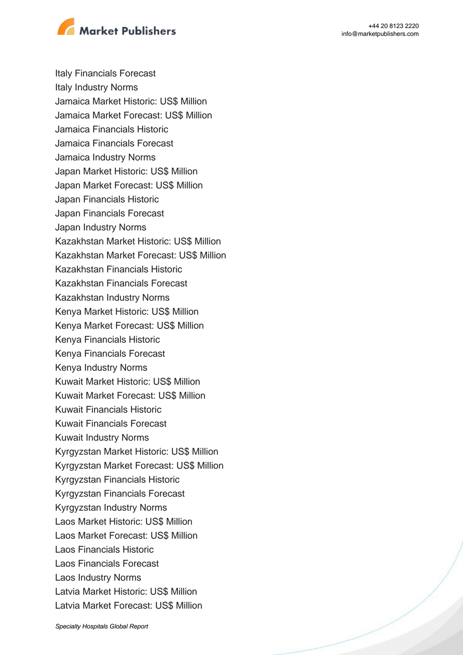

Italy Financials Forecast Italy Industry Norms Jamaica Market Historic: US\$ Million Jamaica Market Forecast: US\$ Million Jamaica Financials Historic Jamaica Financials Forecast Jamaica Industry Norms Japan Market Historic: US\$ Million Japan Market Forecast: US\$ Million Japan Financials Historic Japan Financials Forecast Japan Industry Norms Kazakhstan Market Historic: US\$ Million Kazakhstan Market Forecast: US\$ Million Kazakhstan Financials Historic Kazakhstan Financials Forecast Kazakhstan Industry Norms Kenya Market Historic: US\$ Million Kenya Market Forecast: US\$ Million Kenya Financials Historic Kenya Financials Forecast Kenya Industry Norms Kuwait Market Historic: US\$ Million Kuwait Market Forecast: US\$ Million Kuwait Financials Historic Kuwait Financials Forecast Kuwait Industry Norms Kyrgyzstan Market Historic: US\$ Million Kyrgyzstan Market Forecast: US\$ Million Kyrgyzstan Financials Historic Kyrgyzstan Financials Forecast Kyrgyzstan Industry Norms Laos Market Historic: US\$ Million Laos Market Forecast: US\$ Million Laos Financials Historic Laos Financials Forecast Laos Industry Norms Latvia Market Historic: US\$ Million Latvia Market Forecast: US\$ Million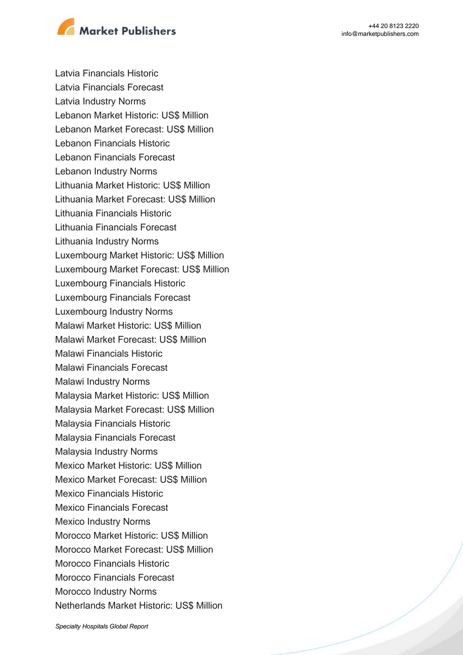



Latvia Financials Historic Latvia Financials Forecast Latvia Industry Norms Lebanon Market Historic: US\$ Million Lebanon Market Forecast: US\$ Million Lebanon Financials Historic Lebanon Financials Forecast Lebanon Industry Norms Lithuania Market Historic: US\$ Million Lithuania Market Forecast: US\$ Million Lithuania Financials Historic Lithuania Financials Forecast Lithuania Industry Norms Luxembourg Market Historic: US\$ Million Luxembourg Market Forecast: US\$ Million Luxembourg Financials Historic Luxembourg Financials Forecast Luxembourg Industry Norms Malawi Market Historic: US\$ Million Malawi Market Forecast: US\$ Million Malawi Financials Historic Malawi Financials Forecast Malawi Industry Norms Malaysia Market Historic: US\$ Million Malaysia Market Forecast: US\$ Million Malaysia Financials Historic Malaysia Financials Forecast Malaysia Industry Norms Mexico Market Historic: US\$ Million Mexico Market Forecast: US\$ Million Mexico Financials Historic Mexico Financials Forecast Mexico Industry Norms Morocco Market Historic: US\$ Million Morocco Market Forecast: US\$ Million Morocco Financials Historic Morocco Financials Forecast Morocco Industry Norms Netherlands Market Historic: US\$ Million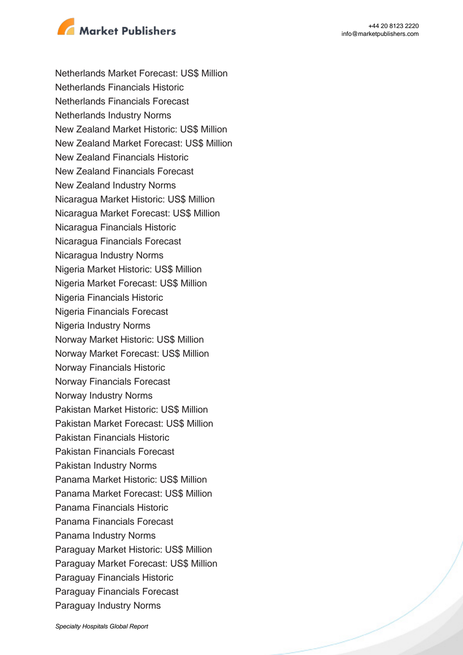

Netherlands Market Forecast: US\$ Million Netherlands Financials Historic Netherlands Financials Forecast Netherlands Industry Norms New Zealand Market Historic: US\$ Million New Zealand Market Forecast: US\$ Million New Zealand Financials Historic New Zealand Financials Forecast New Zealand Industry Norms Nicaragua Market Historic: US\$ Million Nicaragua Market Forecast: US\$ Million Nicaragua Financials Historic Nicaragua Financials Forecast Nicaragua Industry Norms Nigeria Market Historic: US\$ Million Nigeria Market Forecast: US\$ Million Nigeria Financials Historic Nigeria Financials Forecast Nigeria Industry Norms Norway Market Historic: US\$ Million Norway Market Forecast: US\$ Million Norway Financials Historic Norway Financials Forecast Norway Industry Norms Pakistan Market Historic: US\$ Million Pakistan Market Forecast: US\$ Million Pakistan Financials Historic Pakistan Financials Forecast Pakistan Industry Norms Panama Market Historic: US\$ Million Panama Market Forecast: US\$ Million Panama Financials Historic Panama Financials Forecast Panama Industry Norms Paraguay Market Historic: US\$ Million Paraguay Market Forecast: US\$ Million Paraguay Financials Historic Paraguay Financials Forecast Paraguay Industry Norms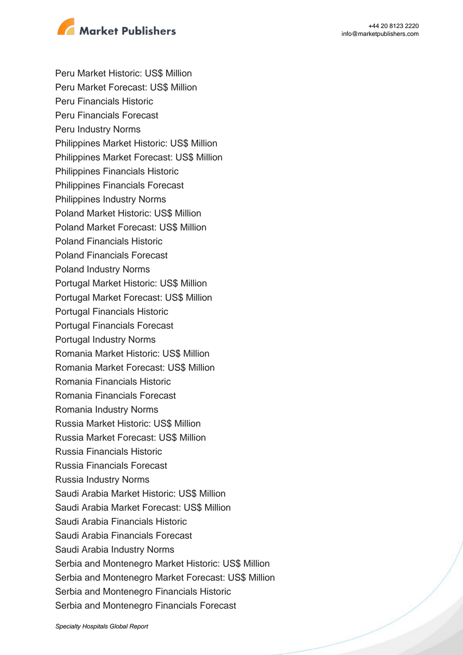

Peru Market Historic: US\$ Million Peru Market Forecast: US\$ Million Peru Financials Historic Peru Financials Forecast Peru Industry Norms Philippines Market Historic: US\$ Million Philippines Market Forecast: US\$ Million Philippines Financials Historic Philippines Financials Forecast Philippines Industry Norms Poland Market Historic: US\$ Million Poland Market Forecast: US\$ Million Poland Financials Historic Poland Financials Forecast Poland Industry Norms Portugal Market Historic: US\$ Million Portugal Market Forecast: US\$ Million Portugal Financials Historic Portugal Financials Forecast Portugal Industry Norms Romania Market Historic: US\$ Million Romania Market Forecast: US\$ Million Romania Financials Historic Romania Financials Forecast Romania Industry Norms Russia Market Historic: US\$ Million Russia Market Forecast: US\$ Million Russia Financials Historic Russia Financials Forecast Russia Industry Norms Saudi Arabia Market Historic: US\$ Million Saudi Arabia Market Forecast: US\$ Million Saudi Arabia Financials Historic Saudi Arabia Financials Forecast Saudi Arabia Industry Norms Serbia and Montenegro Market Historic: US\$ Million Serbia and Montenegro Market Forecast: US\$ Million Serbia and Montenegro Financials Historic Serbia and Montenegro Financials Forecast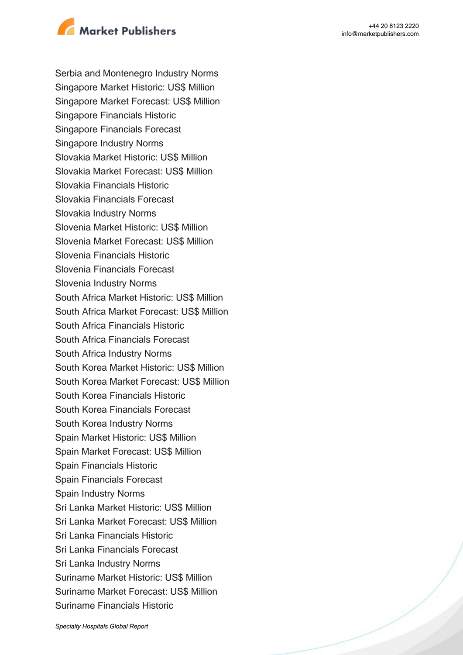

Serbia and Montenegro Industry Norms Singapore Market Historic: US\$ Million Singapore Market Forecast: US\$ Million Singapore Financials Historic Singapore Financials Forecast Singapore Industry Norms Slovakia Market Historic: US\$ Million Slovakia Market Forecast: US\$ Million Slovakia Financials Historic Slovakia Financials Forecast Slovakia Industry Norms Slovenia Market Historic: US\$ Million Slovenia Market Forecast: US\$ Million Slovenia Financials Historic Slovenia Financials Forecast Slovenia Industry Norms South Africa Market Historic: US\$ Million South Africa Market Forecast: US\$ Million South Africa Financials Historic South Africa Financials Forecast South Africa Industry Norms South Korea Market Historic: US\$ Million South Korea Market Forecast: US\$ Million South Korea Financials Historic South Korea Financials Forecast South Korea Industry Norms Spain Market Historic: US\$ Million Spain Market Forecast: US\$ Million Spain Financials Historic Spain Financials Forecast Spain Industry Norms Sri Lanka Market Historic: US\$ Million Sri Lanka Market Forecast: US\$ Million Sri Lanka Financials Historic Sri Lanka Financials Forecast Sri Lanka Industry Norms Suriname Market Historic: US\$ Million Suriname Market Forecast: US\$ Million Suriname Financials Historic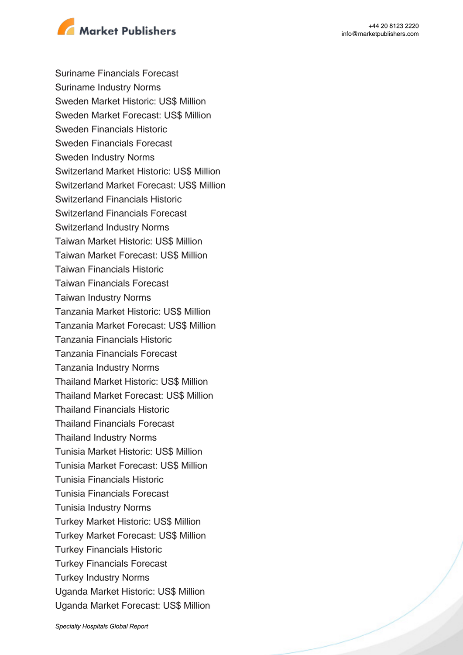



Suriname Financials Forecast Suriname Industry Norms Sweden Market Historic: US\$ Million Sweden Market Forecast: US\$ Million Sweden Financials Historic Sweden Financials Forecast Sweden Industry Norms Switzerland Market Historic: US\$ Million Switzerland Market Forecast: US\$ Million Switzerland Financials Historic Switzerland Financials Forecast Switzerland Industry Norms Taiwan Market Historic: US\$ Million Taiwan Market Forecast: US\$ Million Taiwan Financials Historic Taiwan Financials Forecast Taiwan Industry Norms Tanzania Market Historic: US\$ Million Tanzania Market Forecast: US\$ Million Tanzania Financials Historic Tanzania Financials Forecast Tanzania Industry Norms Thailand Market Historic: US\$ Million Thailand Market Forecast: US\$ Million Thailand Financials Historic Thailand Financials Forecast Thailand Industry Norms Tunisia Market Historic: US\$ Million Tunisia Market Forecast: US\$ Million Tunisia Financials Historic Tunisia Financials Forecast Tunisia Industry Norms Turkey Market Historic: US\$ Million Turkey Market Forecast: US\$ Million Turkey Financials Historic Turkey Financials Forecast Turkey Industry Norms Uganda Market Historic: US\$ Million Uganda Market Forecast: US\$ Million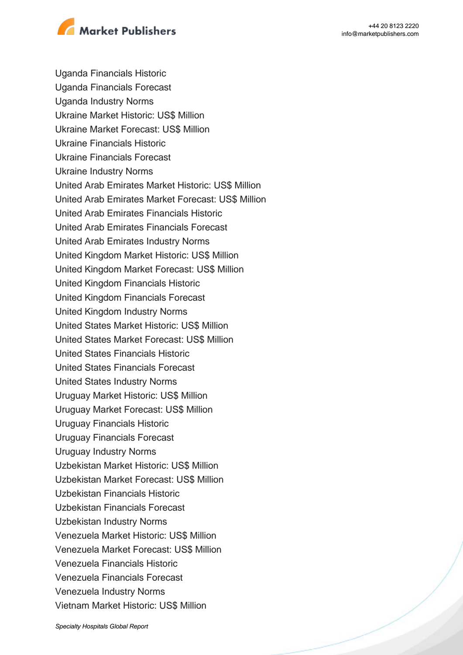

Uganda Financials Historic Uganda Financials Forecast Uganda Industry Norms Ukraine Market Historic: US\$ Million Ukraine Market Forecast: US\$ Million Ukraine Financials Historic Ukraine Financials Forecast Ukraine Industry Norms United Arab Emirates Market Historic: US\$ Million United Arab Emirates Market Forecast: US\$ Million United Arab Emirates Financials Historic United Arab Emirates Financials Forecast United Arab Emirates Industry Norms United Kingdom Market Historic: US\$ Million United Kingdom Market Forecast: US\$ Million United Kingdom Financials Historic United Kingdom Financials Forecast United Kingdom Industry Norms United States Market Historic: US\$ Million United States Market Forecast: US\$ Million United States Financials Historic United States Financials Forecast United States Industry Norms Uruguay Market Historic: US\$ Million Uruguay Market Forecast: US\$ Million Uruguay Financials Historic Uruguay Financials Forecast Uruguay Industry Norms Uzbekistan Market Historic: US\$ Million Uzbekistan Market Forecast: US\$ Million Uzbekistan Financials Historic Uzbekistan Financials Forecast Uzbekistan Industry Norms Venezuela Market Historic: US\$ Million Venezuela Market Forecast: US\$ Million Venezuela Financials Historic Venezuela Financials Forecast Venezuela Industry Norms Vietnam Market Historic: US\$ Million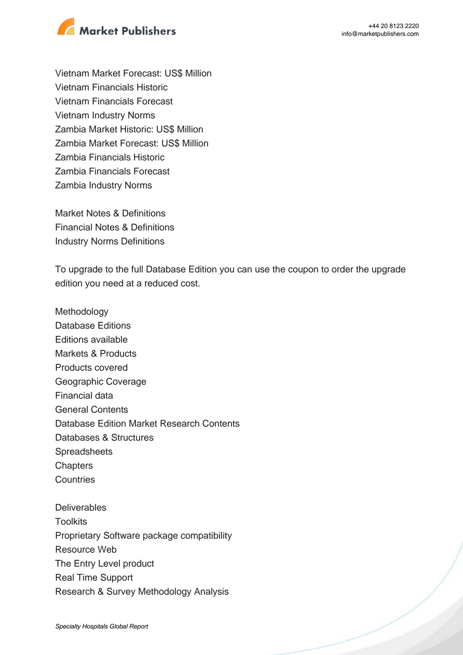



Vietnam Market Forecast: US\$ Million Vietnam Financials Historic Vietnam Financials Forecast Vietnam Industry Norms Zambia Market Historic: US\$ Million Zambia Market Forecast: US\$ Million Zambia Financials Historic Zambia Financials Forecast Zambia Industry Norms

Market Notes & Definitions Financial Notes & Definitions Industry Norms Definitions

To upgrade to the full Database Edition you can use the coupon to order the upgrade edition you need at a reduced cost.

Methodology Database Editions Editions available Markets & Products Products covered Geographic Coverage Financial data General Contents Database Edition Market Research Contents Databases & Structures Spreadsheets **Chapters Countries Deliverables Toolkits** Proprietary Software package compatibility Resource Web The Entry Level product

Real Time Support

Research & Survey Methodology Analysis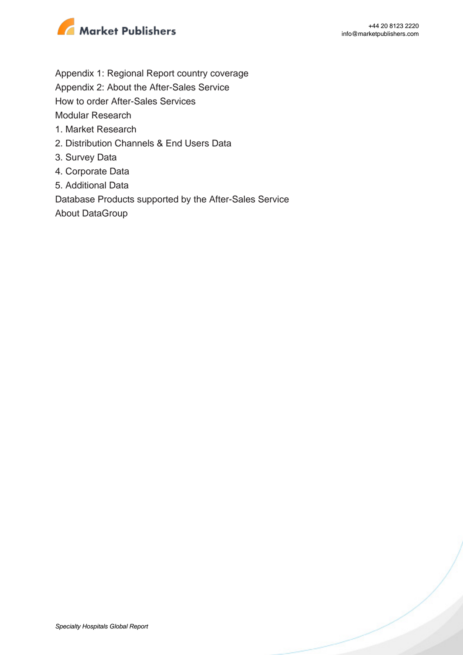

- Appendix 1: Regional Report country coverage
- Appendix 2: About the After-Sales Service
- How to order After-Sales Services

Modular Research

- 1. Market Research
- 2. Distribution Channels & End Users Data
- 3. Survey Data
- 4. Corporate Data
- 5. Additional Data

Database Products supported by the After-Sales Service

About DataGroup